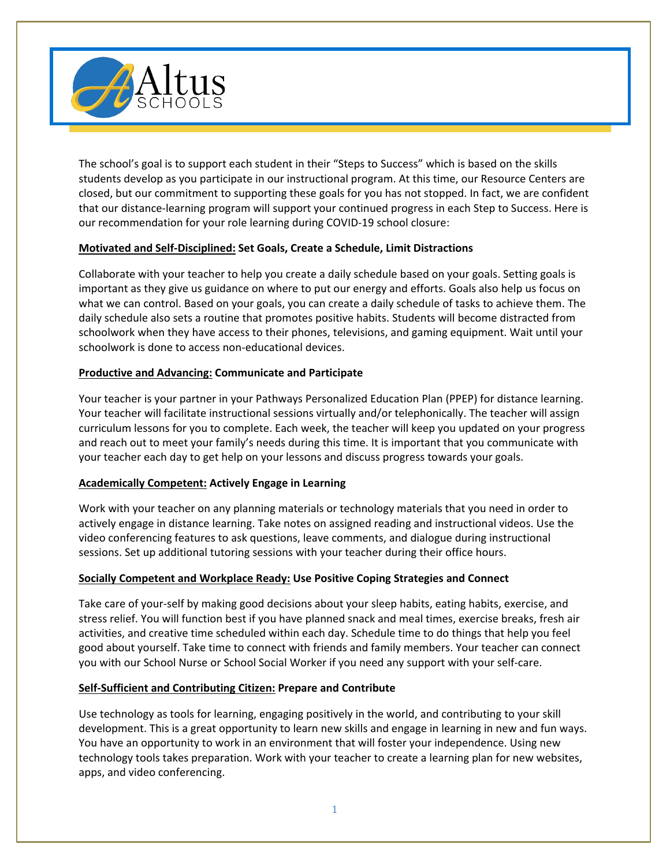

The school's goal is to support each student in their "Steps to Success" which is based on the skills students develop as you participate in our instructional program. At this time, our Resource Centers are closed, but our commitment to supporting these goals for you has not stopped. In fact, we are confident that our distance-learning program will support your continued progress in each Step to Success. Here is our recommendation for your role learning during COVID-19 school closure:

# **Motivated and Self-Disciplined: Set Goals, Create a Schedule, Limit Distractions**

Collaborate with your teacher to help you create a daily schedule based on your goals. Setting goals is important as they give us guidance on where to put our energy and efforts. Goals also help us focus on what we can control. Based on your goals, you can create a daily schedule of tasks to achieve them. The daily schedule also sets a routine that promotes positive habits. Students will become distracted from schoolwork when they have access to their phones, televisions, and gaming equipment. Wait until your schoolwork is done to access non-educational devices.

# **Productive and Advancing: Communicate and Participate**

Your teacher is your partner in your Pathways Personalized Education Plan (PPEP) for distance learning. Your teacher will facilitate instructional sessions virtually and/or telephonically. The teacher will assign curriculum lessons for you to complete. Each week, the teacher will keep you updated on your progress and reach out to meet your family's needs during this time. It is important that you communicate with your teacher each day to get help on your lessons and discuss progress towards your goals.

# **Academically Competent: Actively Engage in Learning**

Work with your teacher on any planning materials or technology materials that you need in order to actively engage in distance learning. Take notes on assigned reading and instructional videos. Use the video conferencing features to ask questions, leave comments, and dialogue during instructional sessions. Set up additional tutoring sessions with your teacher during their office hours.

# **Socially Competent and Workplace Ready: Use Positive Coping Strategies and Connect**

Take care of your-self by making good decisions about your sleep habits, eating habits, exercise, and stress relief. You will function best if you have planned snack and meal times, exercise breaks, fresh air activities, and creative time scheduled within each day. Schedule time to do things that help you feel good about yourself. Take time to connect with friends and family members. Your teacher can connect you with our School Nurse or School Social Worker if you need any support with your self-care.

# **Self-Sufficient and Contributing Citizen: Prepare and Contribute**

Use technology as tools for learning, engaging positively in the world, and contributing to your skill development. This is a great opportunity to learn new skills and engage in learning in new and fun ways. You have an opportunity to work in an environment that will foster your independence. Using new technology tools takes preparation. Work with your teacher to create a learning plan for new websites, apps, and video conferencing.